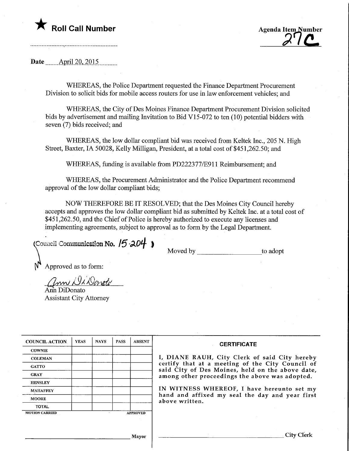



Date ........ April 20, 2015

WHEREAS, the Police Department requested the Finance Department Procurement Division to solicit bids for mobile access routers for use in law enforcement vehicles; and

WHEREAS, the City of Des Moines Finance Department Procurement Division solicited bids by advertisement and mailing Invitation to Bid V15-072 to ten (10) potential bidders with seven (7) bids received; and

WHEREAS, the low dollar compliant bid was received from Keltek Inc., 205 N. High Street, Baxter, IA 50028, Kelly Milligan, President, at a total cost of \$451,262.50; and

WHEREAS, funding is available from PD222377/E911 Reimbursement; and

WHEREAS, the Procurement Administrator and the Police Department recommend approval of the low dollar compliant bids;

NOW THEREFORE BE IT RESOLVED; that the Des Moines City Council hereby accepts and approves the low dollar compliant bid as submitted by Keltek Inc. at a total cost of \$451,262.50, and the Chief of Police is hereby authorized to execute any licenses and implementing agreements, subject to approval as to form by the Legal Department.

(Council Communication No.  $15 \cdot 204$ )

Moved by to adopt

Approved as to form:

V,

ann Di Donote Aim DiDonato

Assistant City Attorney

| <b>COUNCIL ACTION</b> | <b>YEAS</b> | <b>NAYS</b> | <b>PASS</b> | <b>ABSENT</b>   | <b>CERTIFICATE</b>                                                                                                                                                                                                                                                        |  |  |  |  |
|-----------------------|-------------|-------------|-------------|-----------------|---------------------------------------------------------------------------------------------------------------------------------------------------------------------------------------------------------------------------------------------------------------------------|--|--|--|--|
| <b>COWNIE</b>         |             |             |             |                 |                                                                                                                                                                                                                                                                           |  |  |  |  |
| <b>COLEMAN</b>        |             |             |             |                 | I, DIANE RAUH, City Clerk of said City hereby                                                                                                                                                                                                                             |  |  |  |  |
| <b>GATTO</b>          |             |             |             |                 | certify that at a meeting of the City Council of<br>said City of Des Moines, held on the above date,<br>among other proceedings the above was adopted.<br>IN WITNESS WHEREOF, I have hereunto set my<br>hand and affixed my seal the day and year first<br>above written. |  |  |  |  |
| <b>GRAY</b>           |             |             |             |                 |                                                                                                                                                                                                                                                                           |  |  |  |  |
| <b>HENSLEY</b>        |             |             |             |                 |                                                                                                                                                                                                                                                                           |  |  |  |  |
| <b>MAHAFFEY</b>       |             |             |             |                 |                                                                                                                                                                                                                                                                           |  |  |  |  |
| <b>MOORE</b>          |             |             |             |                 |                                                                                                                                                                                                                                                                           |  |  |  |  |
| <b>TOTAL</b>          |             |             |             |                 |                                                                                                                                                                                                                                                                           |  |  |  |  |
| <b>MOTION CARRIED</b> |             |             |             | <b>APPROVED</b> |                                                                                                                                                                                                                                                                           |  |  |  |  |
|                       |             |             |             |                 |                                                                                                                                                                                                                                                                           |  |  |  |  |
|                       |             |             |             |                 |                                                                                                                                                                                                                                                                           |  |  |  |  |
|                       |             |             |             |                 |                                                                                                                                                                                                                                                                           |  |  |  |  |
| Mayor                 |             |             |             |                 | City Cl                                                                                                                                                                                                                                                                   |  |  |  |  |